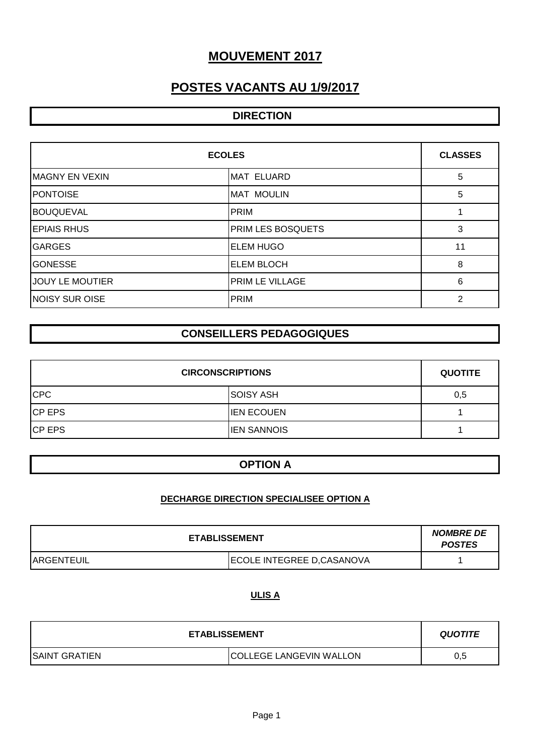# **MOUVEMENT 2017**

# **POSTES VACANTS AU 1/9/2017**

# **DIRECTION**

| <b>ECOLES</b>          |                          | <b>CLASSES</b> |
|------------------------|--------------------------|----------------|
| <b>IMAGNY EN VEXIN</b> | <b>MAT ELUARD</b>        | 5              |
| <b>PONTOISE</b>        | <b>MAT MOULIN</b>        | 5              |
| <b>BOUQUEVAL</b>       | PRIM                     |                |
| <b>EPIAIS RHUS</b>     | <b>PRIM LES BOSQUETS</b> | 3              |
| <b>IGARGES</b>         | <b>ELEM HUGO</b>         | 11             |
| <b>GONESSE</b>         | <b>ELEM BLOCH</b>        | 8              |
| <b>JOUY LE MOUTIER</b> | <b>PRIM LE VILLAGE</b>   | 6              |
| NOISY SUR OISE         | PRIM                     | 2              |

# **CONSEILLERS PEDAGOGIQUES**

| <b>CIRCONSCRIPTIONS</b> |                    | <b>QUOTITE</b> |
|-------------------------|--------------------|----------------|
| <b>CPC</b>              | <b>SOISY ASH</b>   | 0,5            |
| <b>CP EPS</b>           | <b>IEN ECOUEN</b>  |                |
| <b>CP EPS</b>           | <b>IEN SANNOIS</b> |                |

### **OPTION A**

### **DECHARGE DIRECTION SPECIALISEE OPTION A**

| <b>ETABLISSEMENT</b> |                            | <b>NOMBRE DE</b><br><b>POSTES</b> |
|----------------------|----------------------------|-----------------------------------|
| <b>ARGENTEUIL</b>    | ECOLE INTEGREE D, CASANOVA |                                   |

#### **ULIS A**

| <b>ETABLISSEMENT</b>  |                                | <b>QUOTITE</b> |
|-----------------------|--------------------------------|----------------|
| <b>ISAINT GRATIEN</b> | <b>COLLEGE LANGEVIN WALLON</b> | 0.5            |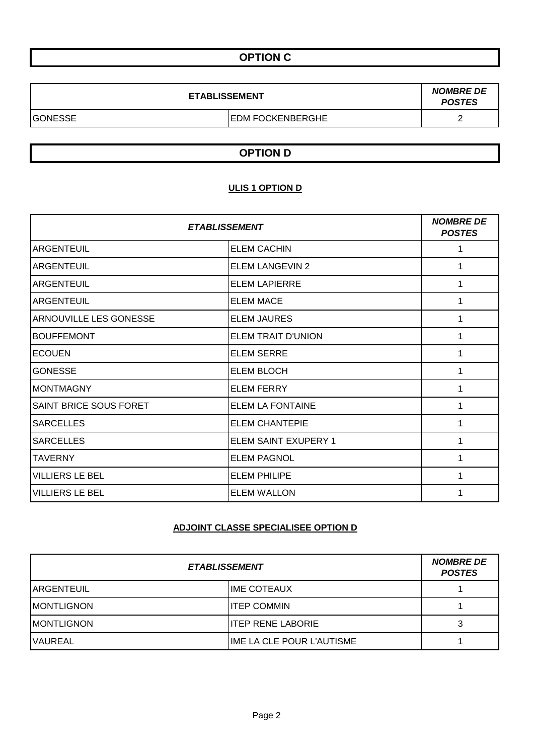# **OPTION C**

| <b>ETABLISSEMENT</b> |                          | <b>NOMBRE DE</b><br><b>POSTES</b> |
|----------------------|--------------------------|-----------------------------------|
| GONESSE              | <b>IEDM FOCKENBERGHE</b> |                                   |

## **OPTION D**

### **ULIS 1 OPTION D**

| <b>ETABLISSEMENT</b>          |                         | <b>NOMBRE DE</b><br><b>POSTES</b> |
|-------------------------------|-------------------------|-----------------------------------|
| ARGENTEUIL                    | <b>ELEM CACHIN</b>      |                                   |
| <b>ARGENTEUIL</b>             | <b>ELEM LANGEVIN 2</b>  |                                   |
| <b>ARGENTEUIL</b>             | <b>ELEM LAPIERRE</b>    |                                   |
| <b>ARGENTEUIL</b>             | <b>ELEM MACE</b>        | 1                                 |
| ARNOUVILLE LES GONESSE        | <b>ELEM JAURES</b>      |                                   |
| <b>BOUFFEMONT</b>             | ELEM TRAIT D'UNION      |                                   |
| <b>ECOUEN</b>                 | <b>ELEM SERRE</b>       |                                   |
| <b>GONESSE</b>                | <b>ELEM BLOCH</b>       | 1                                 |
| IMONTMAGNY                    | <b>ELEM FERRY</b>       | 1                                 |
| <b>SAINT BRICE SOUS FORET</b> | <b>ELEM LA FONTAINE</b> |                                   |
| <b>SARCELLES</b>              | <b>ELEM CHANTEPIE</b>   |                                   |
| <b>SARCELLES</b>              | ELEM SAINT EXUPERY 1    | 1                                 |
| <b>TAVERNY</b>                | <b>ELEM PAGNOL</b>      |                                   |
| <b>VILLIERS LE BEL</b>        | <b>ELEM PHILIPE</b>     |                                   |
| <b>VILLIERS LE BEL</b>        | <b>ELEM WALLON</b>      |                                   |

# **ADJOINT CLASSE SPECIALISEE OPTION D**

| <b>ETABLISSEMENT</b> |                           | <b>NOMBRE DE</b><br><b>POSTES</b> |
|----------------------|---------------------------|-----------------------------------|
| <b>IARGENTEUIL</b>   | <b>IME COTEAUX</b>        |                                   |
| <b>IMONTLIGNON</b>   | <b>ITEP COMMIN</b>        |                                   |
| <b>IMONTLIGNON</b>   | <b>ITEP RENE LABORIE</b>  |                                   |
| <b>VAUREAL</b>       | IME LA CLE POUR L'AUTISME |                                   |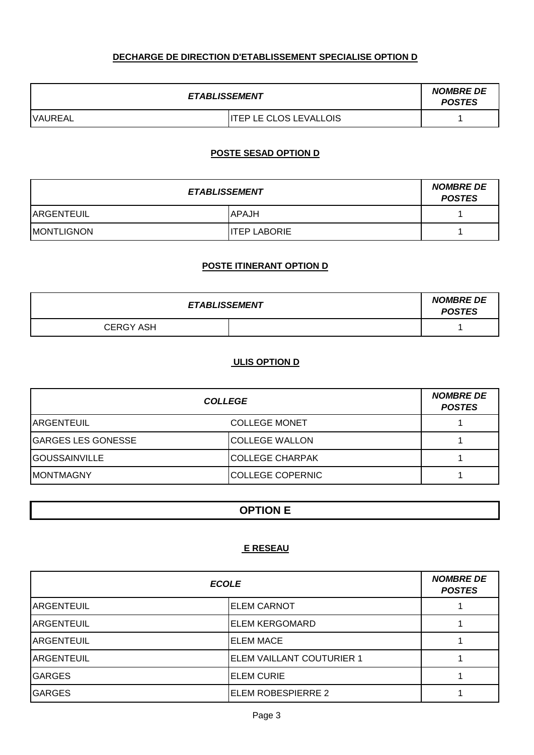### **DECHARGE DE DIRECTION D'ETABLISSEMENT SPECIALISE OPTION D**

| <b>ETABLISSEMENT</b> |                        | <b>NOMBRE DE</b><br><b>POSTES</b> |
|----------------------|------------------------|-----------------------------------|
| <b>VAUREAL</b>       | ITEP LE CLOS LEVALLOIS |                                   |

# **POSTE SESAD OPTION D**

| <b>ETABLISSEMENT</b> |                      | <b>NOMBRE DE</b><br><b>POSTES</b> |
|----------------------|----------------------|-----------------------------------|
| <b>ARGENTEUIL</b>    | IAPAJH               |                                   |
| <b>IMONTLIGNON</b>   | <b>IITEP LABORIE</b> |                                   |

#### **POSTE ITINERANT OPTION D**

| <b>ETABLISSEMENT</b> |  | <b>NOMBRE DE</b><br><b>POSTES</b> |
|----------------------|--|-----------------------------------|
| <b>CERGY ASH</b>     |  |                                   |

#### **ULIS OPTION D**

| <b>COLLEGE</b>            |                         | <b>NOMBRE DE</b><br><b>POSTES</b> |
|---------------------------|-------------------------|-----------------------------------|
| <b>IARGENTEUIL</b>        | <b>COLLEGE MONET</b>    |                                   |
| <b>GARGES LES GONESSE</b> | <b>COLLEGE WALLON</b>   |                                   |
| <b>IGOUSSAINVILLE</b>     | ICOLLEGE CHARPAK        |                                   |
| <b>IMONTMAGNY</b>         | <b>COLLEGE COPERNIC</b> |                                   |

# **OPTION E**

# **E RESEAU**

| <b>ECOLE</b>      |                           | <b>NOMBRE DE</b><br><b>POSTES</b> |
|-------------------|---------------------------|-----------------------------------|
| IARGENTEUIL       | <b>ELEM CARNOT</b>        |                                   |
| IARGENTEUIL       | <b>ELEM KERGOMARD</b>     |                                   |
| <b>ARGENTEUIL</b> | <b>ELEM MACE</b>          |                                   |
| <b>ARGENTEUIL</b> | ELEM VAILLANT COUTURIER 1 |                                   |
| <b>IGARGES</b>    | <b>ELEM CURIE</b>         |                                   |
| <b>IGARGES</b>    | ELEM ROBESPIERRE 2        |                                   |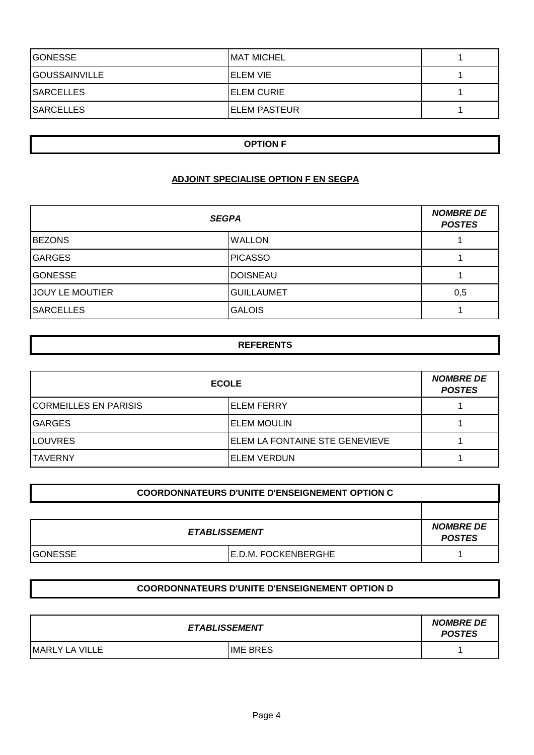| <b>IGONESSE</b>       | <b>MAT MICHEL</b>    |  |
|-----------------------|----------------------|--|
| <b>IGOUSSAINVILLE</b> | <b>IELEM VIE</b>     |  |
| <b>SARCELLES</b>      | <b>IELEM CURIE</b>   |  |
| <b>SARCELLES</b>      | <b>IELEM PASTEUR</b> |  |

#### **OPTION F**

#### **ADJOINT SPECIALISE OPTION F EN SEGPA**

| <b>SEGPA</b>           |                   | <b>NOMBRE DE</b><br><b>POSTES</b> |
|------------------------|-------------------|-----------------------------------|
| <b>BEZONS</b>          | <b>WALLON</b>     |                                   |
| <b>GARGES</b>          | <b>PICASSO</b>    |                                   |
| <b>GONESSE</b>         | <b>DOISNEAU</b>   |                                   |
| <b>JOUY LE MOUTIER</b> | <b>GUILLAUMET</b> | 0,5                               |
| <b>SARCELLES</b>       | <b>GALOIS</b>     |                                   |

## **REFERENTS**

| <b>ECOLE</b>                 |                                        | <b>NOMBRE DE</b><br><b>POSTES</b> |
|------------------------------|----------------------------------------|-----------------------------------|
| <b>CORMEILLES EN PARISIS</b> | <b>IELEM FERRY</b>                     |                                   |
| <b>GARGES</b>                | <b>ELEM MOULIN</b>                     |                                   |
| <b>LOUVRES</b>               | <b>IELEM LA FONTAINE STE GENEVIEVE</b> |                                   |
| <b>ITAVERNY</b>              | <b>IELEM VERDUN</b>                    |                                   |

| <b>COORDONNATEURS D'UNITE D'ENSEIGNEMENT OPTION C</b> |                            |                                   |
|-------------------------------------------------------|----------------------------|-----------------------------------|
|                                                       |                            |                                   |
| <b>ETABLISSEMENT</b>                                  |                            | <b>NOMBRE DE</b><br><b>POSTES</b> |
| <b>IGONESSE</b>                                       | <b>E.D.M. FOCKENBERGHE</b> |                                   |

### **COORDONNATEURS D'UNITE D'ENSEIGNEMENT OPTION D**

| <b>ETABLISSEMENT</b>   |                 | <b>NOMBRE DE</b><br><b>POSTES</b> |
|------------------------|-----------------|-----------------------------------|
| <b>IMARLY LA VILLE</b> | <b>IME BRES</b> |                                   |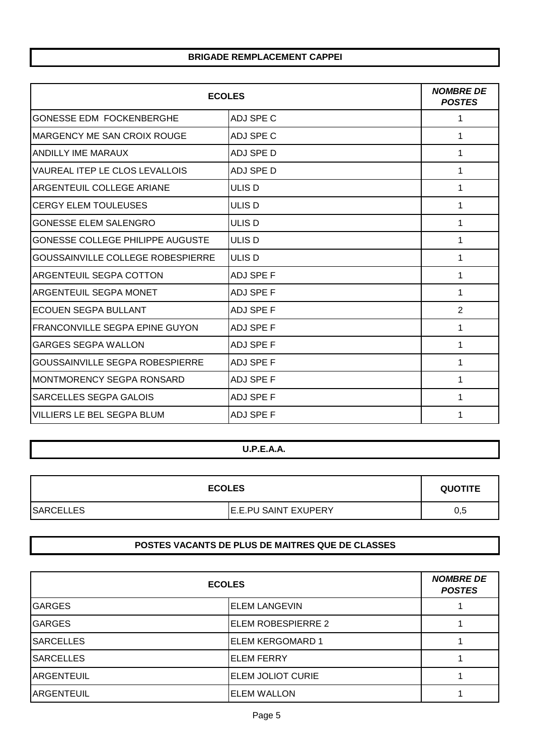#### **BRIGADE REMPLACEMENT CAPPEI**

| <b>ECOLES</b>                           |                   | <b>NOMBRE DE</b><br><b>POSTES</b> |
|-----------------------------------------|-------------------|-----------------------------------|
| <b>GONESSE EDM FOCKENBERGHE</b>         | ADJ SPE C         | 1                                 |
| <b>IMARGENCY ME SAN CROIX ROUGE</b>     | ADJ SPE C         | 1                                 |
| <b>ANDILLY IME MARAUX</b>               | <b>ADJ SPE D</b>  | 1                                 |
| VAUREAL ITEP LE CLOS LEVALLOIS          | ADJ SPE D         | 1                                 |
| <b>ARGENTEUIL COLLEGE ARIANE</b>        | ULIS D            | 1                                 |
| <b>CERGY ELEM TOULEUSES</b>             | ULIS <sub>D</sub> | 1                                 |
| <b>GONESSE ELEM SALENGRO</b>            | ULIS D            | 1                                 |
| <b>GONESSE COLLEGE PHILIPPE AUGUSTE</b> | ULIS D            | 1                                 |
| GOUSSAINVILLE COLLEGE ROBESPIERRE       | ULIS D            | 1                                 |
| <b>ARGENTEUIL SEGPA COTTON</b>          | <b>ADJ SPE F</b>  | 1                                 |
| <b>ARGENTEUIL SEGPA MONET</b>           | <b>ADJ SPE F</b>  | 1                                 |
| <b>ECOUEN SEGPA BULLANT</b>             | <b>ADJ SPE F</b>  | $\overline{2}$                    |
| IFRANCONVILLE SEGPA EPINE GUYON         | <b>ADJ SPE F</b>  | 1                                 |
| <b>GARGES SEGPA WALLON</b>              | <b>ADJ SPE F</b>  | 1                                 |
| <b>GOUSSAINVILLE SEGPA ROBESPIERRE</b>  | <b>ADJ SPE F</b>  | 1                                 |
| MONTMORENCY SEGPA RONSARD               | <b>ADJ SPE F</b>  | 1                                 |
| ISARCELLES SEGPA GALOIS                 | <b>ADJ SPE F</b>  | 1                                 |
| VILLIERS LE BEL SEGPA BLUM              | <b>ADJ SPE F</b>  | 1                                 |

#### **U.P.E.A.A.**

| <b>ECOLES</b>     |                             | <b>QUOTITE</b> |
|-------------------|-----------------------------|----------------|
| <b>ISARCELLES</b> | <b>E.E.PU SAINT EXUPERY</b> | 0,5            |

#### **POSTES VACANTS DE PLUS DE MAITRES QUE DE CLASSES**

| <b>ECOLES</b>     |                           | <b>NOMBRE DE</b><br><b>POSTES</b> |
|-------------------|---------------------------|-----------------------------------|
| <b>GARGES</b>     | <b>IELEM LANGEVIN</b>     |                                   |
| <b>GARGES</b>     | <b>ELEM ROBESPIERRE 2</b> |                                   |
| <b>SARCELLES</b>  | <b>ELEM KERGOMARD 1</b>   |                                   |
| <b>SARCELLES</b>  | <b>ELEM FERRY</b>         |                                   |
| <b>ARGENTEUIL</b> | <b>ELEM JOLIOT CURIE</b>  |                                   |
| <b>ARGENTEUIL</b> | <b>ELEM WALLON</b>        |                                   |